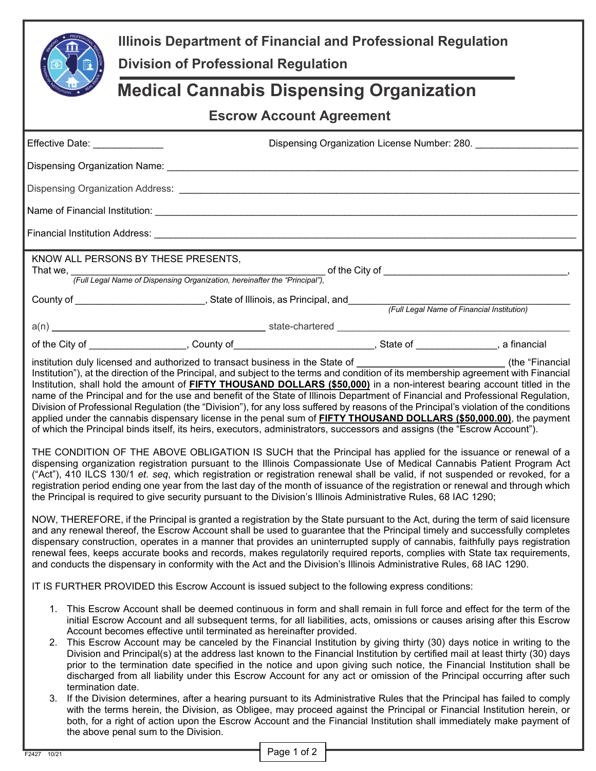| 圍<br>$\bullet$                                                                                                                                                                                                                                                                                                                                                                                                                                                                                                                                                                                                                                                                                                                                                                                                                                                                                                                                                                                                                                                                                                                                                                                                                                                                                 | Illinois Department of Financial and Professional Regulation<br><b>Division of Professional Regulation</b>                                                                                                                                                                                                                                                                                                                                                                                                                                                                                                                                                                                                                                                                                             |                                              |  |  |
|------------------------------------------------------------------------------------------------------------------------------------------------------------------------------------------------------------------------------------------------------------------------------------------------------------------------------------------------------------------------------------------------------------------------------------------------------------------------------------------------------------------------------------------------------------------------------------------------------------------------------------------------------------------------------------------------------------------------------------------------------------------------------------------------------------------------------------------------------------------------------------------------------------------------------------------------------------------------------------------------------------------------------------------------------------------------------------------------------------------------------------------------------------------------------------------------------------------------------------------------------------------------------------------------|--------------------------------------------------------------------------------------------------------------------------------------------------------------------------------------------------------------------------------------------------------------------------------------------------------------------------------------------------------------------------------------------------------------------------------------------------------------------------------------------------------------------------------------------------------------------------------------------------------------------------------------------------------------------------------------------------------------------------------------------------------------------------------------------------------|----------------------------------------------|--|--|
| <b>Medical Cannabis Dispensing Organization</b>                                                                                                                                                                                                                                                                                                                                                                                                                                                                                                                                                                                                                                                                                                                                                                                                                                                                                                                                                                                                                                                                                                                                                                                                                                                |                                                                                                                                                                                                                                                                                                                                                                                                                                                                                                                                                                                                                                                                                                                                                                                                        |                                              |  |  |
| <b>Escrow Account Agreement</b>                                                                                                                                                                                                                                                                                                                                                                                                                                                                                                                                                                                                                                                                                                                                                                                                                                                                                                                                                                                                                                                                                                                                                                                                                                                                |                                                                                                                                                                                                                                                                                                                                                                                                                                                                                                                                                                                                                                                                                                                                                                                                        |                                              |  |  |
| Effective Date: ______________                                                                                                                                                                                                                                                                                                                                                                                                                                                                                                                                                                                                                                                                                                                                                                                                                                                                                                                                                                                                                                                                                                                                                                                                                                                                 |                                                                                                                                                                                                                                                                                                                                                                                                                                                                                                                                                                                                                                                                                                                                                                                                        | Dispensing Organization License Number: 280. |  |  |
|                                                                                                                                                                                                                                                                                                                                                                                                                                                                                                                                                                                                                                                                                                                                                                                                                                                                                                                                                                                                                                                                                                                                                                                                                                                                                                |                                                                                                                                                                                                                                                                                                                                                                                                                                                                                                                                                                                                                                                                                                                                                                                                        |                                              |  |  |
|                                                                                                                                                                                                                                                                                                                                                                                                                                                                                                                                                                                                                                                                                                                                                                                                                                                                                                                                                                                                                                                                                                                                                                                                                                                                                                |                                                                                                                                                                                                                                                                                                                                                                                                                                                                                                                                                                                                                                                                                                                                                                                                        |                                              |  |  |
|                                                                                                                                                                                                                                                                                                                                                                                                                                                                                                                                                                                                                                                                                                                                                                                                                                                                                                                                                                                                                                                                                                                                                                                                                                                                                                |                                                                                                                                                                                                                                                                                                                                                                                                                                                                                                                                                                                                                                                                                                                                                                                                        |                                              |  |  |
|                                                                                                                                                                                                                                                                                                                                                                                                                                                                                                                                                                                                                                                                                                                                                                                                                                                                                                                                                                                                                                                                                                                                                                                                                                                                                                |                                                                                                                                                                                                                                                                                                                                                                                                                                                                                                                                                                                                                                                                                                                                                                                                        |                                              |  |  |
|                                                                                                                                                                                                                                                                                                                                                                                                                                                                                                                                                                                                                                                                                                                                                                                                                                                                                                                                                                                                                                                                                                                                                                                                                                                                                                | KNOW ALL PERSONS BY THESE PRESENTS,                                                                                                                                                                                                                                                                                                                                                                                                                                                                                                                                                                                                                                                                                                                                                                    |                                              |  |  |
|                                                                                                                                                                                                                                                                                                                                                                                                                                                                                                                                                                                                                                                                                                                                                                                                                                                                                                                                                                                                                                                                                                                                                                                                                                                                                                |                                                                                                                                                                                                                                                                                                                                                                                                                                                                                                                                                                                                                                                                                                                                                                                                        |                                              |  |  |
|                                                                                                                                                                                                                                                                                                                                                                                                                                                                                                                                                                                                                                                                                                                                                                                                                                                                                                                                                                                                                                                                                                                                                                                                                                                                                                |                                                                                                                                                                                                                                                                                                                                                                                                                                                                                                                                                                                                                                                                                                                                                                                                        |                                              |  |  |
|                                                                                                                                                                                                                                                                                                                                                                                                                                                                                                                                                                                                                                                                                                                                                                                                                                                                                                                                                                                                                                                                                                                                                                                                                                                                                                |                                                                                                                                                                                                                                                                                                                                                                                                                                                                                                                                                                                                                                                                                                                                                                                                        |                                              |  |  |
|                                                                                                                                                                                                                                                                                                                                                                                                                                                                                                                                                                                                                                                                                                                                                                                                                                                                                                                                                                                                                                                                                                                                                                                                                                                                                                | of the City of ____________________, County of _____________________________, State of ______________, a financial                                                                                                                                                                                                                                                                                                                                                                                                                                                                                                                                                                                                                                                                                     |                                              |  |  |
|                                                                                                                                                                                                                                                                                                                                                                                                                                                                                                                                                                                                                                                                                                                                                                                                                                                                                                                                                                                                                                                                                                                                                                                                                                                                                                | Institution"), at the direction of the Principal, and subject to the terms and condition of its membership agreement with Financial<br>Institution, shall hold the amount of FIFTY THOUSAND DOLLARS (\$50,000) in a non-interest bearing account titled in the<br>name of the Principal and for the use and benefit of the State of Illinois Department of Financial and Professional Regulation,<br>Division of Professional Regulation (the "Division"), for any loss suffered by reasons of the Principal's violation of the conditions<br>applied under the cannabis dispensary license in the penal sum of <b>FIFTY THOUSAND DOLLARS (\$50,000.00)</b> , the payment<br>of which the Principal binds itself, its heirs, executors, administrators, successors and assigns (the "Escrow Account"). |                                              |  |  |
|                                                                                                                                                                                                                                                                                                                                                                                                                                                                                                                                                                                                                                                                                                                                                                                                                                                                                                                                                                                                                                                                                                                                                                                                                                                                                                | THE CONDITION OF THE ABOVE OBLIGATION IS SUCH that the Principal has applied for the issuance or renewal of a<br>dispensing organization registration pursuant to the Illinois Compassionate Use of Medical Cannabis Patient Program Act<br>("Act"), 410 ILCS 130/1 et. seg, which registration or registration renewal shall be valid, if not suspended or revoked, for a<br>registration period ending one year from the last day of the month of issuance of the registration or renewal and through which<br>the Principal is required to give security pursuant to the Division's Illinois Administrative Rules, 68 IAC 1290;                                                                                                                                                                     |                                              |  |  |
|                                                                                                                                                                                                                                                                                                                                                                                                                                                                                                                                                                                                                                                                                                                                                                                                                                                                                                                                                                                                                                                                                                                                                                                                                                                                                                | NOW, THEREFORE, if the Principal is granted a registration by the State pursuant to the Act, during the term of said licensure<br>and any renewal thereof, the Escrow Account shall be used to guarantee that the Principal timely and successfully completes<br>dispensary construction, operates in a manner that provides an uninterrupted supply of cannabis, faithfully pays registration<br>renewal fees, keeps accurate books and records, makes regulatorily required reports, complies with State tax requirements,<br>and conducts the dispensary in conformity with the Act and the Division's Illinois Administrative Rules, 68 IAC 1290.                                                                                                                                                  |                                              |  |  |
|                                                                                                                                                                                                                                                                                                                                                                                                                                                                                                                                                                                                                                                                                                                                                                                                                                                                                                                                                                                                                                                                                                                                                                                                                                                                                                | IT IS FURTHER PROVIDED this Escrow Account is issued subject to the following express conditions:                                                                                                                                                                                                                                                                                                                                                                                                                                                                                                                                                                                                                                                                                                      |                                              |  |  |
| This Escrow Account shall be deemed continuous in form and shall remain in full force and effect for the term of the<br>1.<br>initial Escrow Account and all subsequent terms, for all liabilities, acts, omissions or causes arising after this Escrow<br>Account becomes effective until terminated as hereinafter provided.<br>This Escrow Account may be canceled by the Financial Institution by giving thirty (30) days notice in writing to the<br>2.<br>Division and Principal(s) at the address last known to the Financial Institution by certified mail at least thirty (30) days<br>prior to the termination date specified in the notice and upon giving such notice, the Financial Institution shall be<br>discharged from all liability under this Escrow Account for any act or omission of the Principal occurring after such<br>termination date.<br>If the Division determines, after a hearing pursuant to its Administrative Rules that the Principal has failed to comply<br>3.<br>with the terms herein, the Division, as Obligee, may proceed against the Principal or Financial Institution herein, or<br>both, for a right of action upon the Escrow Account and the Financial Institution shall immediately make payment of<br>the above penal sum to the Division. |                                                                                                                                                                                                                                                                                                                                                                                                                                                                                                                                                                                                                                                                                                                                                                                                        |                                              |  |  |

 $\frac{1}{2}$  Page 1 of 2